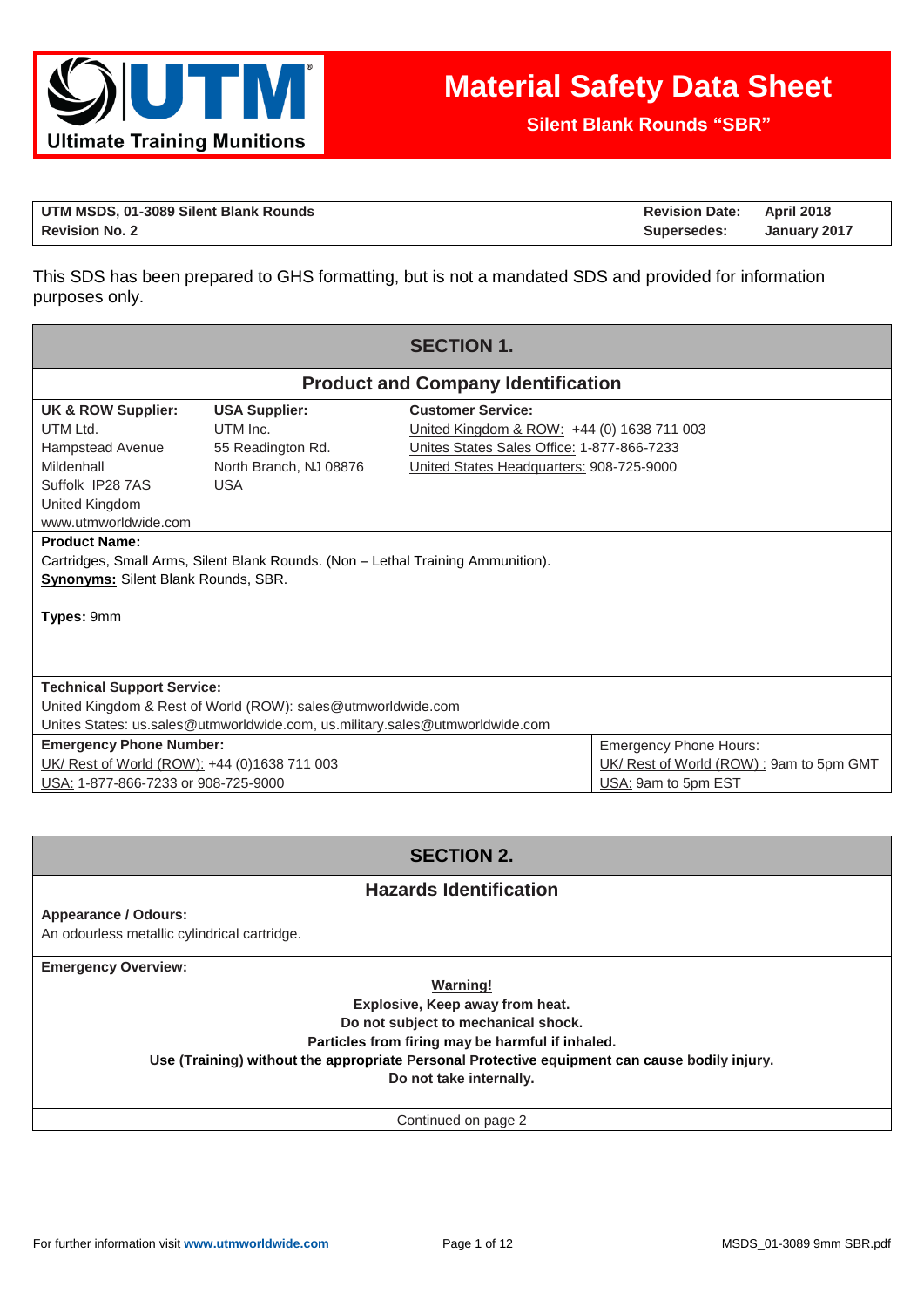

**Silent Blank Rounds "SBR"**

| UTM MSDS, 01-3089 Silent Blank Rounds | <b>Revision Date:</b> | April 2018   |
|---------------------------------------|-----------------------|--------------|
| <b>Revision No. 2</b>                 | Supersedes:           | January 2017 |

This SDS has been prepared to GHS formatting, but is not a mandated SDS and provided for information purposes only.

| <b>SECTION 1.</b>                                                                                                                         |                                                                                                                                              |                                                                                                                                                                  |                                                                                                 |  |
|-------------------------------------------------------------------------------------------------------------------------------------------|----------------------------------------------------------------------------------------------------------------------------------------------|------------------------------------------------------------------------------------------------------------------------------------------------------------------|-------------------------------------------------------------------------------------------------|--|
|                                                                                                                                           |                                                                                                                                              | <b>Product and Company Identification</b>                                                                                                                        |                                                                                                 |  |
| <b>UK &amp; ROW Supplier:</b><br>UTM Ltd.<br>Hampstead Avenue<br>Mildenhall<br>Suffolk IP28 7AS<br>United Kingdom<br>www.utmworldwide.com | <b>USA Supplier:</b><br>UTM Inc.<br>55 Readington Rd.<br>North Branch, NJ 08876<br><b>USA</b>                                                | <b>Customer Service:</b><br>United Kingdom & ROW: +44 (0) 1638 711 003<br>Unites States Sales Office: 1-877-866-7233<br>United States Headquarters: 908-725-9000 |                                                                                                 |  |
| <b>Product Name:</b><br><b>Synonyms:</b> Silent Blank Rounds, SBR.<br>Types: 9mm                                                          | Cartridges, Small Arms, Silent Blank Rounds. (Non – Lethal Training Ammunition).                                                             |                                                                                                                                                                  |                                                                                                 |  |
| <b>Technical Support Service:</b>                                                                                                         | United Kingdom & Rest of World (ROW): sales@utmworldwide.com<br>Unites States: us.sales@utmworldwide.com, us.military.sales@utmworldwide.com |                                                                                                                                                                  |                                                                                                 |  |
| <b>Emergency Phone Number:</b><br>UK/ Rest of World (ROW): +44 (0)1638 711 003<br>USA: 1-877-866-7233 or 908-725-9000                     |                                                                                                                                              |                                                                                                                                                                  | <b>Emergency Phone Hours:</b><br>UK/ Rest of World (ROW): 9am to 5pm GMT<br>USA: 9am to 5pm EST |  |

# **SECTION 2.**

### **Hazards Identification**

### **Appearance / Odours:**

An odourless metallic cylindrical cartridge.

**Emergency Overview:**

**Warning!**

**Explosive, Keep away from heat.** 

**Do not subject to mechanical shock.** 

**Particles from firing may be harmful if inhaled.**

**Use (Training) without the appropriate Personal Protective equipment can cause bodily injury.**

**Do not take internally.**

Continued on page 2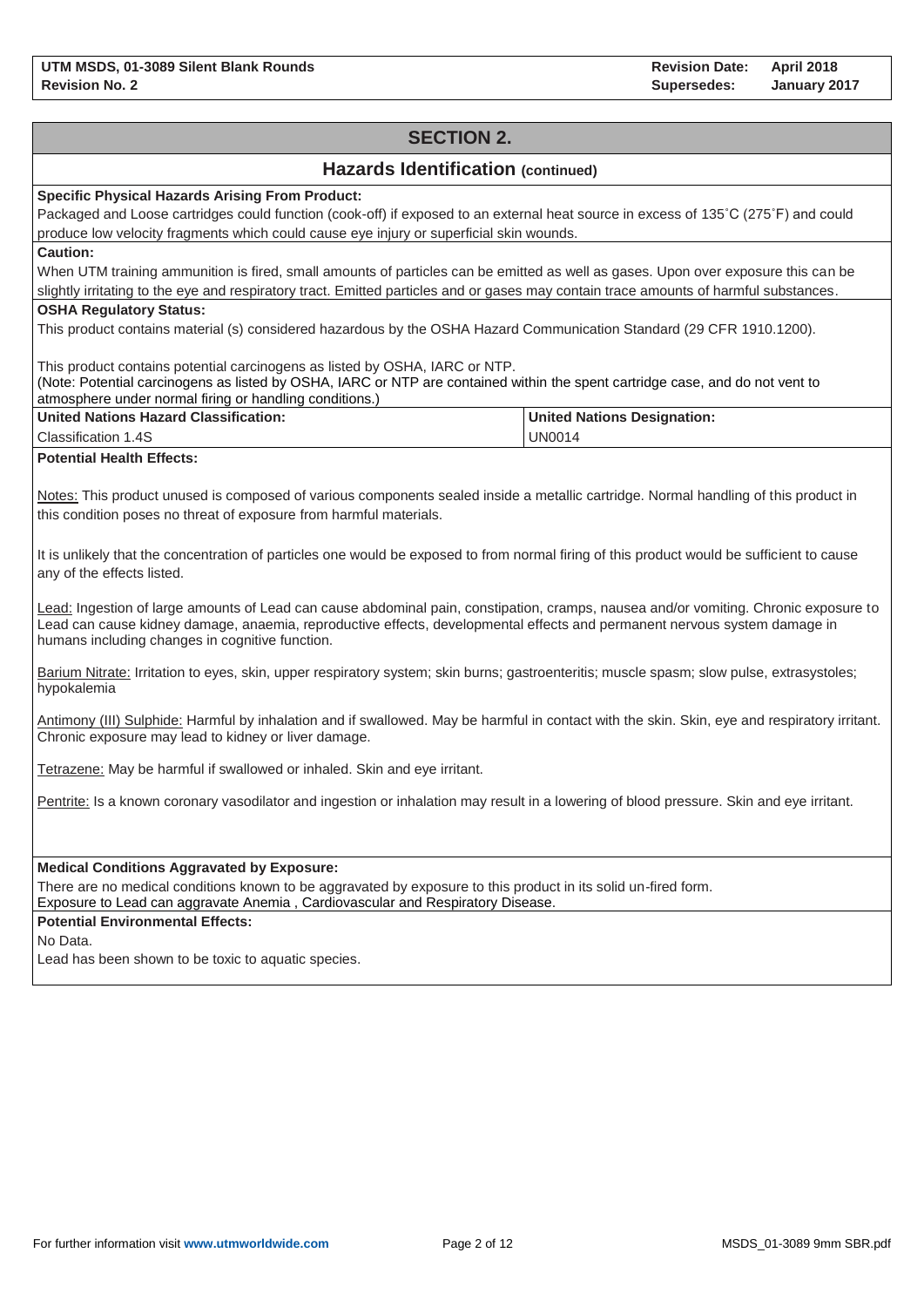# **SECTION 2. Hazards Identification (continued) Specific Physical Hazards Arising From Product:** Packaged and Loose cartridges could function (cook-off) if exposed to an external heat source in excess of 135˚C (275˚F) and could produce low velocity fragments which could cause eye injury or superficial skin wounds. **Caution:** When UTM training ammunition is fired, small amounts of particles can be emitted as well as gases. Upon over exposure this can be slightly irritating to the eye and respiratory tract. Emitted particles and or gases may contain trace amounts of harmful substances. **OSHA Regulatory Status:** This product contains material (s) considered hazardous by the OSHA Hazard Communication Standard (29 CFR 1910.1200). This product contains potential carcinogens as listed by OSHA, IARC or NTP. (Note: Potential carcinogens as listed by OSHA, IARC or NTP are contained within the spent cartridge case, and do not vent to atmosphere under normal firing or handling conditions.) **United Nations Hazard Classification:** Classification 1.4S **United Nations Designation:** UN0014 **Potential Health Effects:** Notes: This product unused is composed of various components sealed inside a metallic cartridge. Normal handling of this product in this condition poses no threat of exposure from harmful materials. It is unlikely that the concentration of particles one would be exposed to from normal firing of this product would be sufficient to cause any of the effects listed. Lead: Ingestion of large amounts of Lead can cause abdominal pain, constipation, cramps, nausea and/or vomiting. Chronic exposure to Lead can cause kidney damage, anaemia, reproductive effects, developmental effects and permanent nervous system damage in humans including changes in cognitive function. Barium Nitrate: Irritation to eyes, skin, upper respiratory system; skin burns; gastroenteritis; muscle spasm; slow pulse, extrasystoles; hypokalemia Antimony (III) Sulphide: Harmful by inhalation and if swallowed. May be harmful in contact with the skin. Skin, eye and respiratory irritant. Chronic exposure may lead to kidney or liver damage. Tetrazene: May be harmful if swallowed or inhaled. Skin and eye irritant. Pentrite: Is a known coronary vasodilator and ingestion or inhalation may result in a lowering of blood pressure. Skin and eye irritant. **Medical Conditions Aggravated by Exposure:** There are no medical conditions known to be aggravated by exposure to this product in its solid un-fired form. Exposure to Lead can aggravate Anemia , Cardiovascular and Respiratory Disease. **Potential Environmental Effects:** No Data. Lead has been shown to be toxic to aquatic species.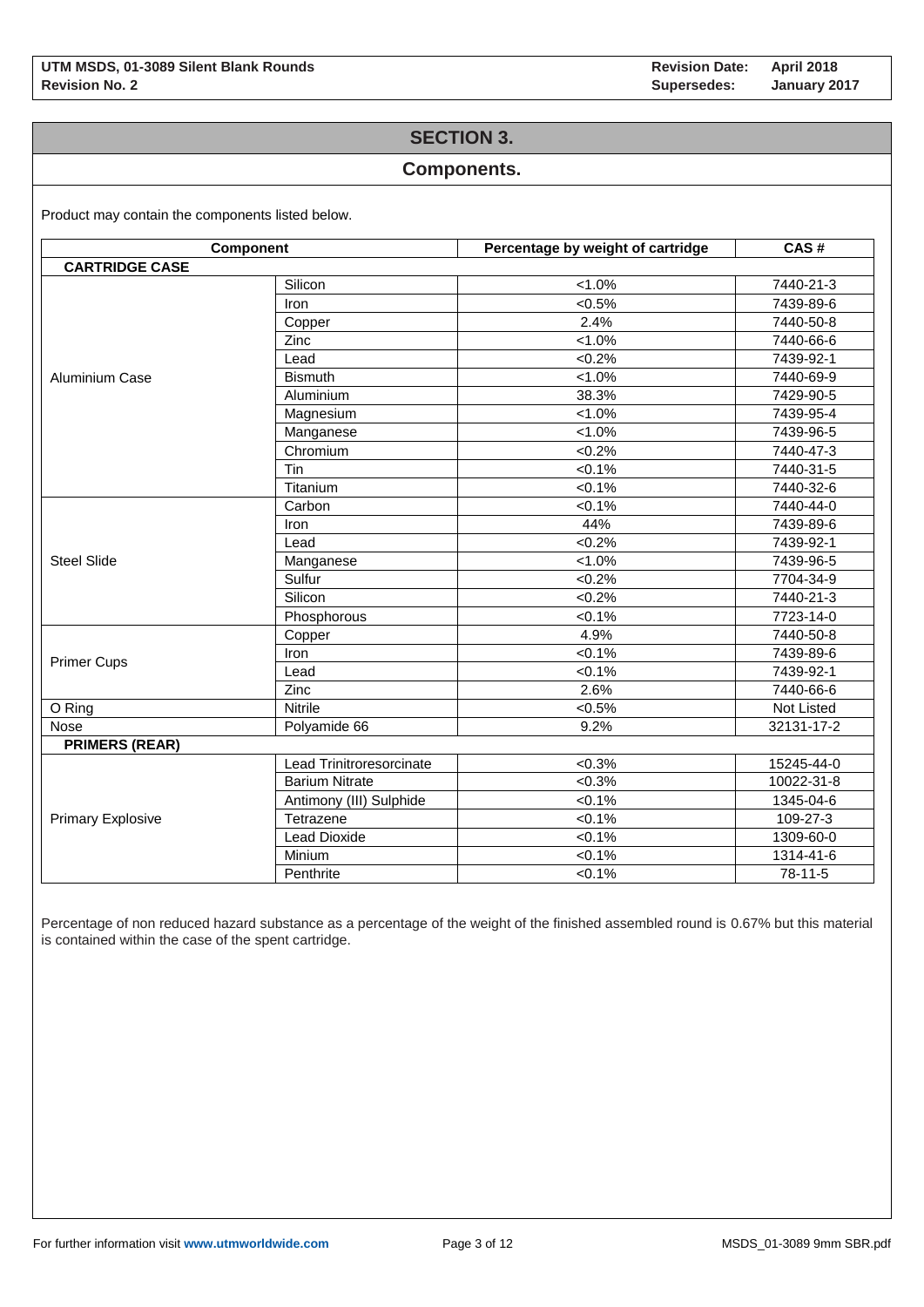### **SECTION 3.**

### **Components.**

Product may contain the components listed below.

| Component                |                          | Percentage by weight of cartridge | CAS#       |  |
|--------------------------|--------------------------|-----------------------------------|------------|--|
| <b>CARTRIDGE CASE</b>    |                          |                                   |            |  |
|                          | Silicon                  | $< 1.0\%$                         | 7440-21-3  |  |
|                          | Iron                     | $< 0.5\%$                         | 7439-89-6  |  |
|                          | Copper                   | 2.4%                              | 7440-50-8  |  |
|                          | Zinc                     | $< 1.0\%$                         | 7440-66-6  |  |
|                          | Lead                     | $<0.2\%$                          | 7439-92-1  |  |
| <b>Aluminium Case</b>    | <b>Bismuth</b>           | $< 1.0\%$                         | 7440-69-9  |  |
|                          | Aluminium                | 38.3%                             | 7429-90-5  |  |
|                          | Magnesium                | $< 1.0\%$                         | 7439-95-4  |  |
|                          | Manganese                | $< 1.0\%$                         | 7439-96-5  |  |
|                          | Chromium                 | $<0.2\%$                          | 7440-47-3  |  |
|                          | Tin                      | $< 0.1\%$                         | 7440-31-5  |  |
|                          | Titanium                 | $< 0.1\%$                         | 7440-32-6  |  |
|                          | Carbon                   | $<0.1\%$                          | 7440-44-0  |  |
|                          | Iron                     | 44%                               | 7439-89-6  |  |
|                          | Lead                     | $<0.2\%$                          | 7439-92-1  |  |
| <b>Steel Slide</b>       | Manganese                | $< 1.0\%$                         | 7439-96-5  |  |
|                          | Sulfur                   | $<0.2\%$                          | 7704-34-9  |  |
|                          | Silicon                  | $<0.2\%$                          | 7440-21-3  |  |
|                          | Phosphorous              | $< 0.1\%$                         | 7723-14-0  |  |
|                          | Copper                   | 4.9%                              | 7440-50-8  |  |
|                          | Iron                     | < 0.1%                            | 7439-89-6  |  |
| <b>Primer Cups</b>       | Lead                     | $< 0.1\%$                         | 7439-92-1  |  |
|                          | Zinc                     | 2.6%                              | 7440-66-6  |  |
| O Ring                   | <b>Nitrile</b>           | $< 0.5\%$                         | Not Listed |  |
| <b>Nose</b>              | Polyamide 66             | 9.2%                              | 32131-17-2 |  |
| <b>PRIMERS (REAR)</b>    |                          |                                   |            |  |
|                          | Lead Trinitroresorcinate | $<0.3\%$                          | 15245-44-0 |  |
|                          | <b>Barium Nitrate</b>    | $<0.3\%$                          | 10022-31-8 |  |
|                          | Antimony (III) Sulphide  | $< 0.1\%$                         | 1345-04-6  |  |
| <b>Primary Explosive</b> | Tetrazene                | $< 0.1\%$                         | 109-27-3   |  |
|                          | <b>Lead Dioxide</b>      | $< 0.1\%$                         | 1309-60-0  |  |
|                          | Minium                   | $< 0.1\%$                         | 1314-41-6  |  |
|                          | Penthrite                | $< 0.1\%$                         | $78-11-5$  |  |

Percentage of non reduced hazard substance as a percentage of the weight of the finished assembled round is 0.67% but this material is contained within the case of the spent cartridge.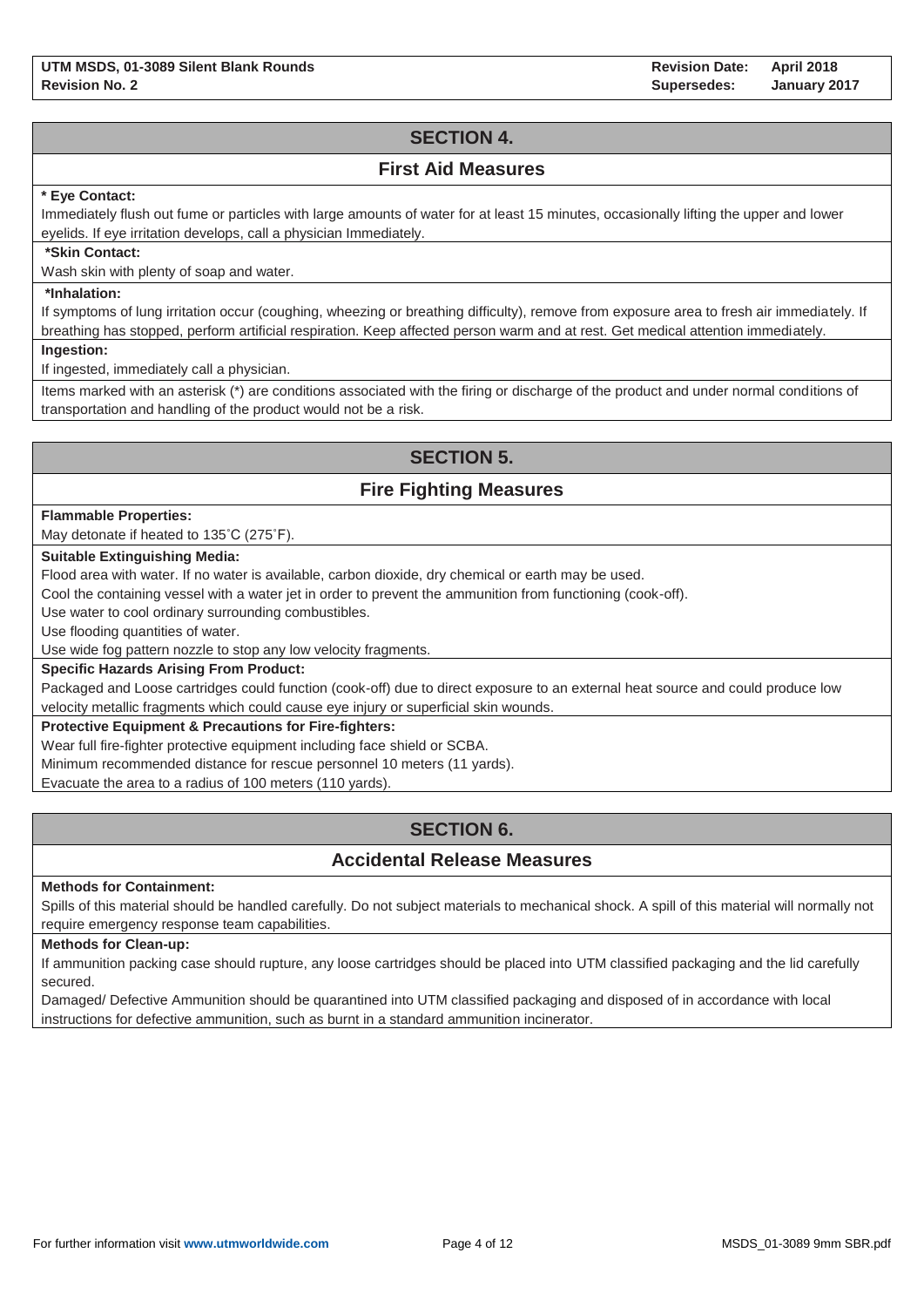# **SECTION 4.**

### **First Aid Measures**

### **\* Eye Contact:**

Immediately flush out fume or particles with large amounts of water for at least 15 minutes, occasionally lifting the upper and lower eyelids. If eye irritation develops, call a physician Immediately.

#### **\*Skin Contact:**

Wash skin with plenty of soap and water.

### **\*Inhalation:**

If symptoms of lung irritation occur (coughing, wheezing or breathing difficulty), remove from exposure area to fresh air immediately. If breathing has stopped, perform artificial respiration. Keep affected person warm and at rest. Get medical attention immediately.

**Ingestion:**

If ingested, immediately call a physician.

Items marked with an asterisk (\*) are conditions associated with the firing or discharge of the product and under normal conditions of transportation and handling of the product would not be a risk.

# **SECTION 5.**

## **Fire Fighting Measures**

#### **Flammable Properties:**

May detonate if heated to 135˚C (275˚F).

### **Suitable Extinguishing Media:**

Flood area with water. If no water is available, carbon dioxide, dry chemical or earth may be used.

Cool the containing vessel with a water jet in order to prevent the ammunition from functioning (cook-off).

Use water to cool ordinary surrounding combustibles.

Use flooding quantities of water.

Use wide fog pattern nozzle to stop any low velocity fragments.

### **Specific Hazards Arising From Product:**

Packaged and Loose cartridges could function (cook-off) due to direct exposure to an external heat source and could produce low velocity metallic fragments which could cause eye injury or superficial skin wounds.

### **Protective Equipment & Precautions for Fire-fighters:**

Wear full fire-fighter protective equipment including face shield or SCBA.

Minimum recommended distance for rescue personnel 10 meters (11 yards).

Evacuate the area to a radius of 100 meters (110 yards).

# **SECTION 6.**

## **Accidental Release Measures**

#### **Methods for Containment:**

Spills of this material should be handled carefully. Do not subject materials to mechanical shock. A spill of this material will normally not require emergency response team capabilities.

#### **Methods for Clean-up:**

If ammunition packing case should rupture, any loose cartridges should be placed into UTM classified packaging and the lid carefully secured.

Damaged/ Defective Ammunition should be quarantined into UTM classified packaging and disposed of in accordance with local instructions for defective ammunition, such as burnt in a standard ammunition incinerator.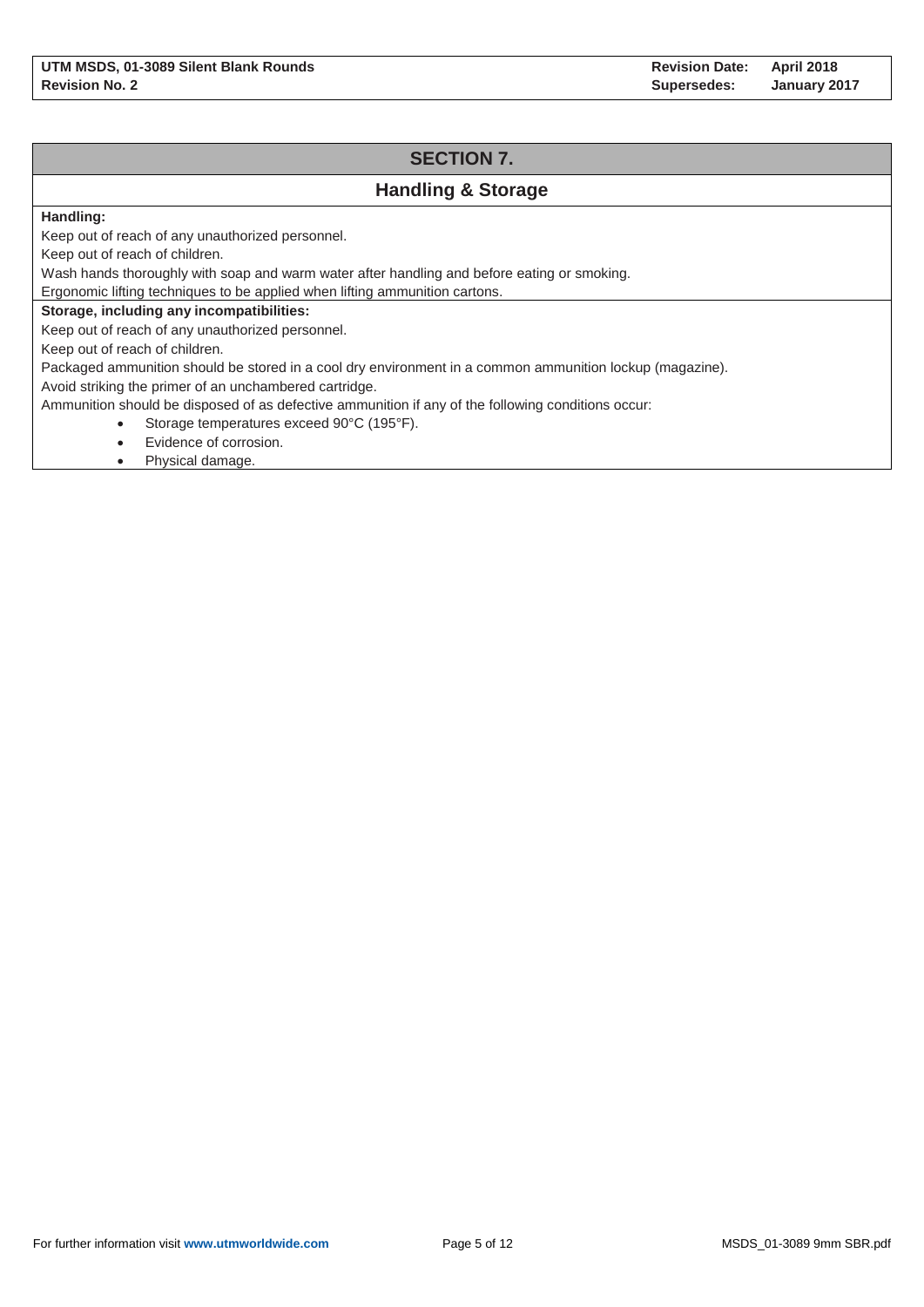# **SECTION 7. Handling & Storage Handling:** Keep out of reach of any unauthorized personnel. Keep out of reach of children. Wash hands thoroughly with soap and warm water after handling and before eating or smoking. Ergonomic lifting techniques to be applied when lifting ammunition cartons. **Storage, including any incompatibilities:** Keep out of reach of any unauthorized personnel. Keep out of reach of children. Packaged ammunition should be stored in a cool dry environment in a common ammunition lockup (magazine). Avoid striking the primer of an unchambered cartridge. Ammunition should be disposed of as defective ammunition if any of the following conditions occur: Storage temperatures exceed 90°C (195°F).

- Evidence of corrosion.
- Physical damage.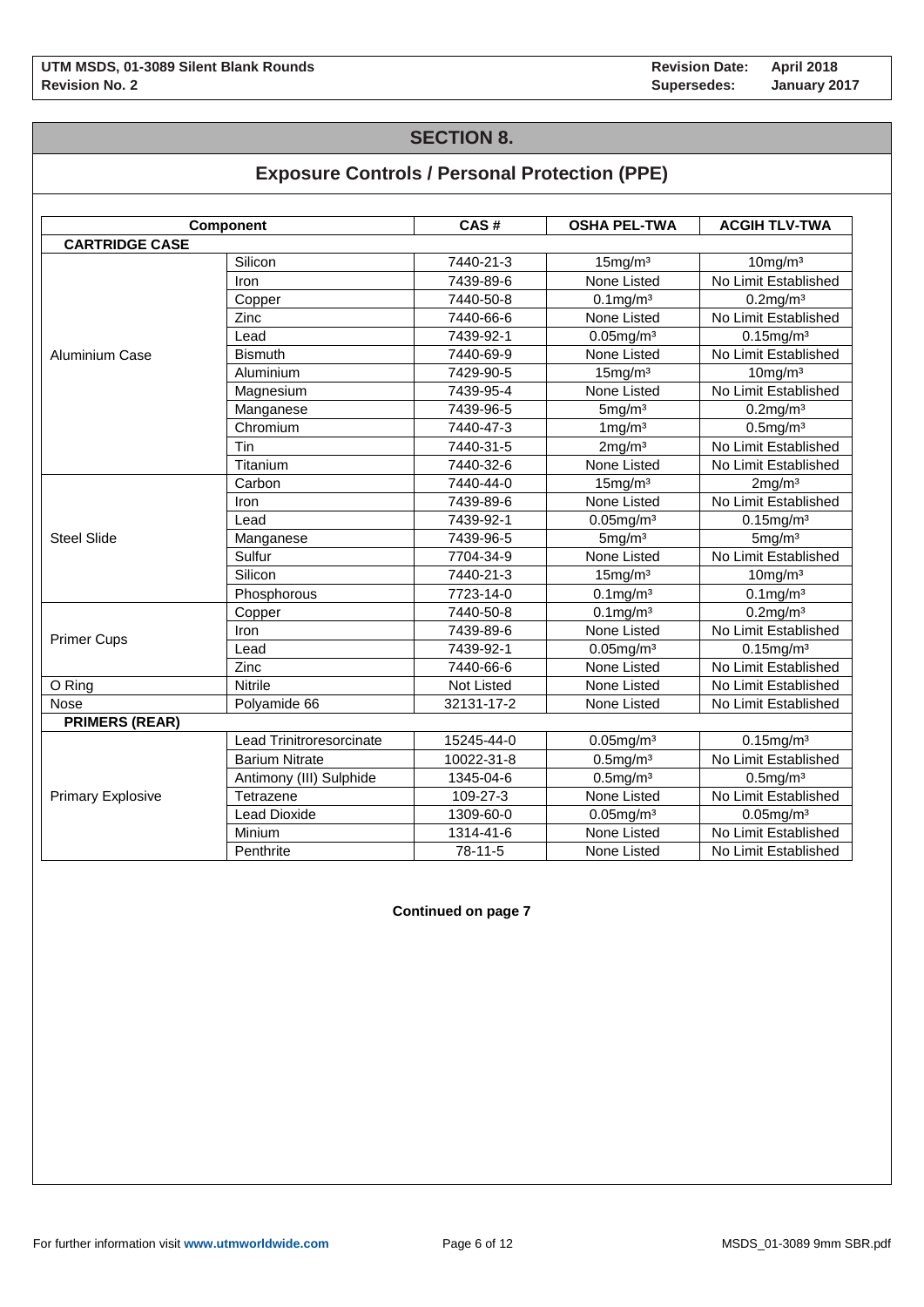# **SECTION 8.**

# **Exposure Controls / Personal Protection (PPE)**

|                          | <b>Component</b>         | CAS#              | <b>OSHA PEL-TWA</b>   | <b>ACGIH TLV-TWA</b>    |
|--------------------------|--------------------------|-------------------|-----------------------|-------------------------|
| <b>CARTRIDGE CASE</b>    |                          |                   |                       |                         |
|                          | Silicon                  | 7440-21-3         | 15mg/m <sup>3</sup>   | $10$ mg/m $3$           |
|                          | Iron                     | 7439-89-6         | None Listed           | No Limit Established    |
|                          | Copper                   | 7440-50-8         | $0.1$ mg/m $3$        | $0.2$ mg/m $3$          |
|                          | Zinc                     | 7440-66-6         | None Listed           | No Limit Established    |
|                          | Lead                     | 7439-92-1         | $0.05$ mg/m $3$       | $0.15$ mg/m $3$         |
| Aluminium Case           | <b>Bismuth</b>           | 7440-69-9         | None Listed           | No Limit Established    |
|                          | Aluminium                | 7429-90-5         | 15mg/m <sup>3</sup>   | $10$ mg/m $3$           |
|                          | Magnesium                | 7439-95-4         | None Listed           | No Limit Established    |
|                          | Manganese                | 7439-96-5         | 5mg/m <sup>3</sup>    | $0.2$ mg/m $3$          |
|                          | Chromium                 | 7440-47-3         | $1 \,\mathrm{mg/m^3}$ | $0.5$ mg/m $3$          |
|                          | Tin                      | 7440-31-5         | 2mg/m <sup>3</sup>    | No Limit Established    |
|                          | Titanium                 | 7440-32-6         | None Listed           | No Limit Established    |
|                          | Carbon                   | 7440-44-0         | 15mg/m <sup>3</sup>   | 2mg/m <sup>3</sup>      |
|                          | Iron                     | 7439-89-6         | None Listed           | No Limit Established    |
|                          | Lead                     | 7439-92-1         | $0.05$ mg/m $3$       | $0.15$ mg/m $3$         |
| <b>Steel Slide</b>       | Manganese                | 7439-96-5         | 5mg/m <sup>3</sup>    | 5mg/m <sup>3</sup>      |
|                          | Sulfur                   | 7704-34-9         | None Listed           | No Limit Established    |
|                          | Silicon                  | 7440-21-3         | 15mg/m <sup>3</sup>   | $10$ mg/m $3$           |
|                          | Phosphorous              | 7723-14-0         | $0.1$ mg/m $3$        | $0.1$ mg/m <sup>3</sup> |
|                          | Copper                   | 7440-50-8         | $0.1$ mg/m $3$        | $0.2$ mg/m $3$          |
| <b>Primer Cups</b>       | Iron                     | 7439-89-6         | None Listed           | No Limit Established    |
|                          | Lead                     | 7439-92-1         | $0.05$ mg/m $3$       | $0.15$ mg/m $3$         |
|                          | Zinc                     | 7440-66-6         | None Listed           | No Limit Established    |
| O Ring                   | Nitrile                  | <b>Not Listed</b> | None Listed           | No Limit Established    |
| Nose                     | Polyamide 66             | 32131-17-2        | None Listed           | No Limit Established    |
| <b>PRIMERS (REAR)</b>    |                          |                   |                       |                         |
|                          | Lead Trinitroresorcinate | 15245-44-0        | $0.05$ mg/m $3$       | $0.15$ mg/m $3$         |
| <b>Primary Explosive</b> | <b>Barium Nitrate</b>    | 10022-31-8        | $0.5$ mg/m $3$        | No Limit Established    |
|                          | Antimony (III) Sulphide  | 1345-04-6         | $0.5$ mg/m $3$        | $0.5$ mg/m $3$          |
|                          | Tetrazene                | 109-27-3          | None Listed           | No Limit Established    |
|                          | <b>Lead Dioxide</b>      | 1309-60-0         | $0.05$ mg/m $3$       | $0.05$ mg/m $3$         |
|                          | Minium                   | 1314-41-6         | None Listed           | No Limit Established    |
|                          | Penthrite                | 78-11-5           | None Listed           | No Limit Established    |

**Continued on page 7**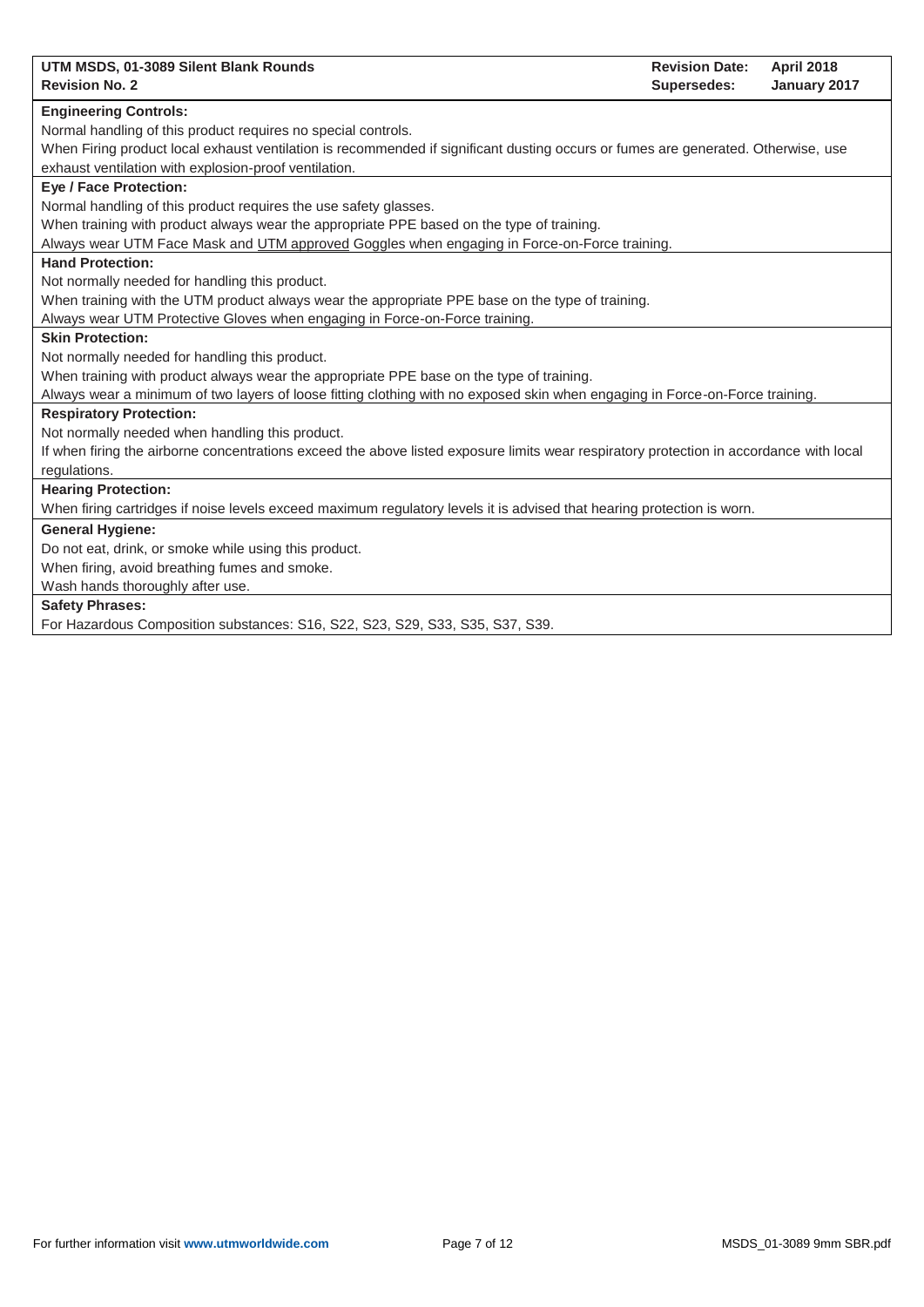| UTM MSDS, 01-3089 Silent Blank Rounds                                                                                                   | <b>Revision Date:</b> | <b>April 2018</b> |
|-----------------------------------------------------------------------------------------------------------------------------------------|-----------------------|-------------------|
| <b>Revision No. 2</b>                                                                                                                   | Supersedes:           | January 2017      |
| <b>Engineering Controls:</b>                                                                                                            |                       |                   |
| Normal handling of this product requires no special controls.                                                                           |                       |                   |
| When Firing product local exhaust ventilation is recommended if significant dusting occurs or fumes are generated. Otherwise, use       |                       |                   |
| exhaust ventilation with explosion-proof ventilation.                                                                                   |                       |                   |
| <b>Eye / Face Protection:</b>                                                                                                           |                       |                   |
| Normal handling of this product requires the use safety glasses.                                                                        |                       |                   |
| When training with product always wear the appropriate PPE based on the type of training.                                               |                       |                   |
| Always wear UTM Face Mask and UTM approved Goggles when engaging in Force-on-Force training.                                            |                       |                   |
| <b>Hand Protection:</b>                                                                                                                 |                       |                   |
| Not normally needed for handling this product.                                                                                          |                       |                   |
| When training with the UTM product always wear the appropriate PPE base on the type of training.                                        |                       |                   |
| Always wear UTM Protective Gloves when engaging in Force-on-Force training.                                                             |                       |                   |
| <b>Skin Protection:</b>                                                                                                                 |                       |                   |
| Not normally needed for handling this product.                                                                                          |                       |                   |
| When training with product always wear the appropriate PPE base on the type of training.                                                |                       |                   |
| Always wear a minimum of two layers of loose fitting clothing with no exposed skin when engaging in Force-on-Force training.            |                       |                   |
| <b>Respiratory Protection:</b>                                                                                                          |                       |                   |
| Not normally needed when handling this product.                                                                                         |                       |                   |
| If when firing the airborne concentrations exceed the above listed exposure limits wear respiratory protection in accordance with local |                       |                   |
| regulations.                                                                                                                            |                       |                   |
| <b>Hearing Protection:</b>                                                                                                              |                       |                   |
| When firing cartridges if noise levels exceed maximum regulatory levels it is advised that hearing protection is worn.                  |                       |                   |
| <b>General Hygiene:</b>                                                                                                                 |                       |                   |
| Do not eat, drink, or smoke while using this product.                                                                                   |                       |                   |
| When firing, avoid breathing fumes and smoke.                                                                                           |                       |                   |
| Wash hands thoroughly after use.                                                                                                        |                       |                   |
| <b>Safety Phrases:</b>                                                                                                                  |                       |                   |
| For Hazardous Composition substances: S16, S22, S23, S29, S33, S35, S37, S39.                                                           |                       |                   |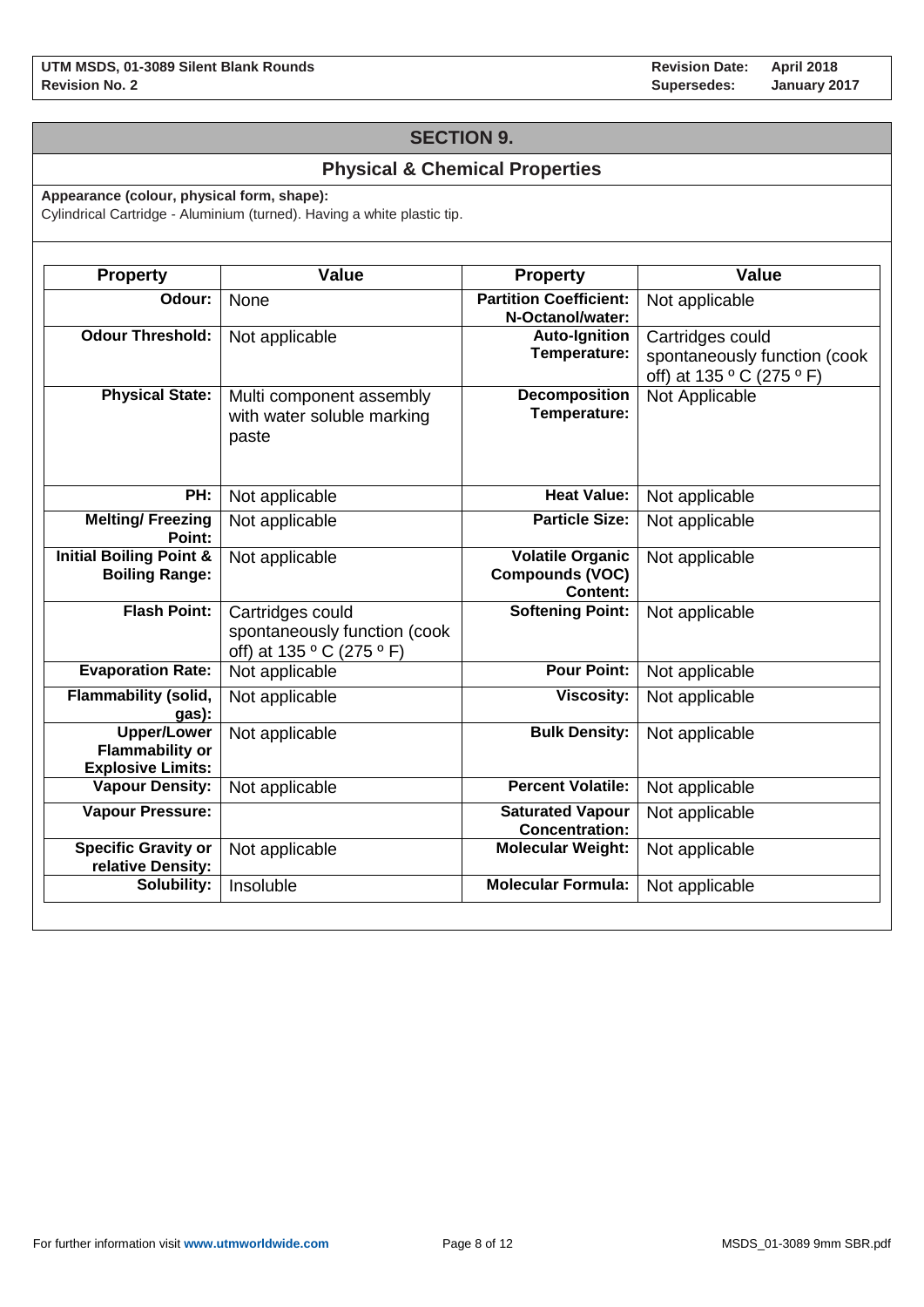## **SECTION 9.**

## **Physical & Chemical Properties**

**Appearance (colour, physical form, shape):**

Cylindrical Cartridge - Aluminium (turned). Having a white plastic tip.

| <b>Property</b>                                                          | <b>Value</b>                                                                  | <b>Property</b>                                                      | <b>Value</b>                                                                  |
|--------------------------------------------------------------------------|-------------------------------------------------------------------------------|----------------------------------------------------------------------|-------------------------------------------------------------------------------|
| Odour:                                                                   | None                                                                          | <b>Partition Coefficient:</b><br>N-Octanol/water:                    | Not applicable                                                                |
| <b>Odour Threshold:</b>                                                  | Not applicable                                                                | <b>Auto-Ignition</b><br>Temperature:                                 | Cartridges could<br>spontaneously function (cook<br>off) at 135 ° C (275 ° F) |
| <b>Physical State:</b>                                                   | Multi component assembly<br>with water soluble marking<br>paste               | <b>Decomposition</b><br>Temperature:                                 | Not Applicable                                                                |
| PH:                                                                      | Not applicable                                                                | <b>Heat Value:</b>                                                   | Not applicable                                                                |
| <b>Melting/Freezing</b><br>Point:                                        | Not applicable                                                                | <b>Particle Size:</b>                                                | Not applicable                                                                |
| <b>Initial Boiling Point &amp;</b><br><b>Boiling Range:</b>              | Not applicable                                                                | <b>Volatile Organic</b><br><b>Compounds (VOC)</b><br><b>Content:</b> | Not applicable                                                                |
| <b>Flash Point:</b>                                                      | Cartridges could<br>spontaneously function (cook<br>off) at 135 ° C (275 ° F) | <b>Softening Point:</b>                                              | Not applicable                                                                |
| <b>Evaporation Rate:</b>                                                 | Not applicable                                                                | <b>Pour Point:</b>                                                   | Not applicable                                                                |
| <b>Flammability (solid,</b><br>gas):                                     | Not applicable                                                                | <b>Viscosity:</b>                                                    | Not applicable                                                                |
| <b>Upper/Lower</b><br><b>Flammability or</b><br><b>Explosive Limits:</b> | Not applicable                                                                | <b>Bulk Density:</b>                                                 | Not applicable                                                                |
| <b>Vapour Density:</b>                                                   | Not applicable                                                                | <b>Percent Volatile:</b>                                             | Not applicable                                                                |
| <b>Vapour Pressure:</b>                                                  |                                                                               | <b>Saturated Vapour</b><br><b>Concentration:</b>                     | Not applicable                                                                |
| <b>Specific Gravity or</b><br>relative Density:                          | Not applicable                                                                | <b>Molecular Weight:</b>                                             | Not applicable                                                                |
| Solubility:                                                              | Insoluble                                                                     | <b>Molecular Formula:</b>                                            | Not applicable                                                                |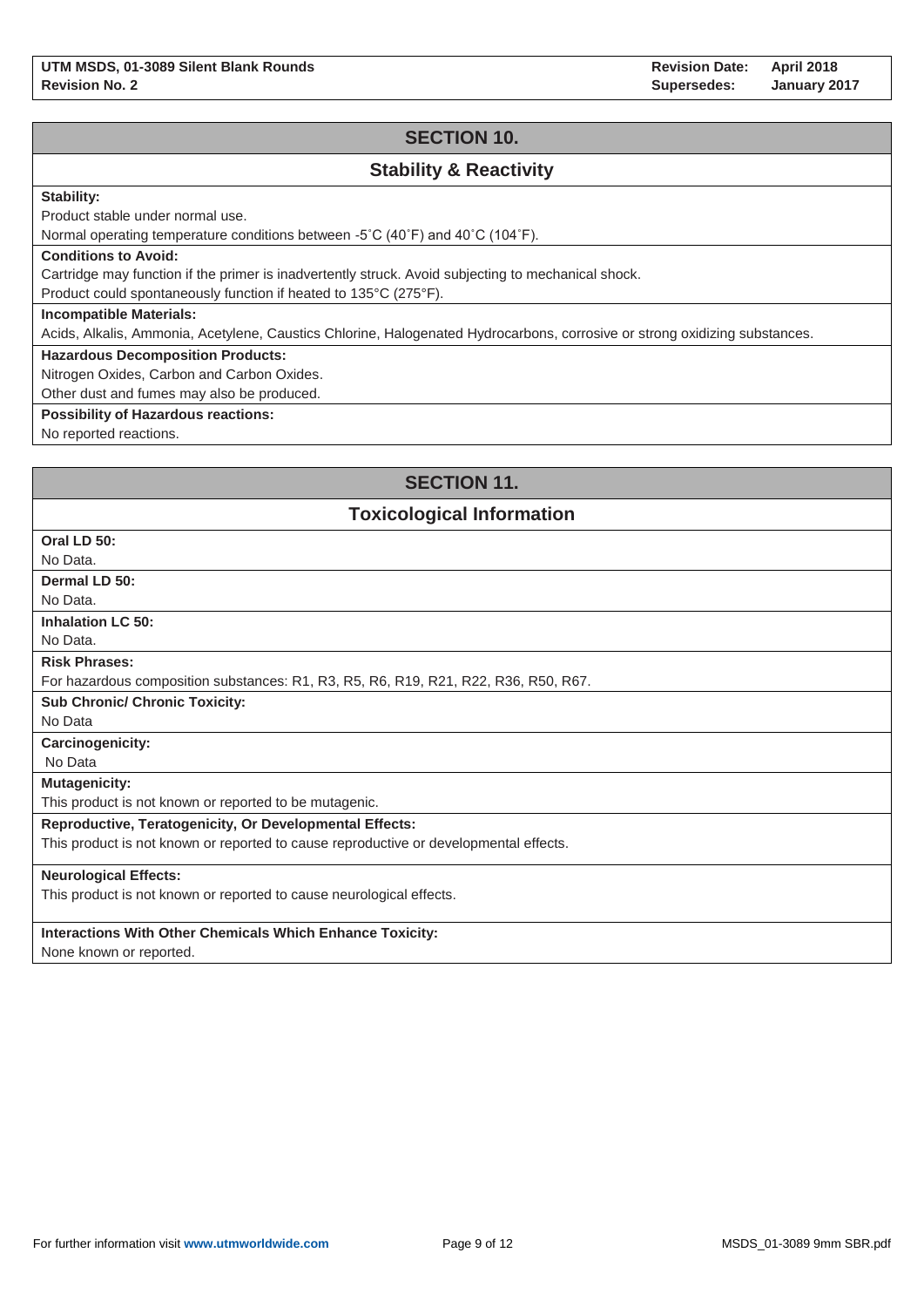**Revision Date: Supersedes: April 2018 January 2017**

## **SECTION 10.**

## **Stability & Reactivity**

### **Stability:**

Product stable under normal use.

Normal operating temperature conditions between -5˚C (40˚F) and 40˚C (104˚F).

#### **Conditions to Avoid:**

Cartridge may function if the primer is inadvertently struck. Avoid subjecting to mechanical shock.

Product could spontaneously function if heated to 135°C (275°F).

#### **Incompatible Materials:**

Acids, Alkalis, Ammonia, Acetylene, Caustics Chlorine, Halogenated Hydrocarbons, corrosive or strong oxidizing substances.

### **Hazardous Decomposition Products:**

Nitrogen Oxides, Carbon and Carbon Oxides.

Other dust and fumes may also be produced.

### **Possibility of Hazardous reactions:**

No reported reactions.

## **SECTION 11.**

### **Toxicological Information**

| Oral LD 50:                                                                           |
|---------------------------------------------------------------------------------------|
| No Data.                                                                              |
| Dermal LD 50:                                                                         |
| No Data.                                                                              |
| <b>Inhalation LC 50:</b>                                                              |
| No Data.                                                                              |
| <b>Risk Phrases:</b>                                                                  |
| For hazardous composition substances: R1, R3, R5, R6, R19, R21, R22, R36, R50, R67.   |
| <b>Sub Chronic/ Chronic Toxicity:</b>                                                 |
| No Data                                                                               |
| <b>Carcinogenicity:</b>                                                               |
| No Data                                                                               |
| <b>Mutagenicity:</b>                                                                  |
| This product is not known or reported to be mutagenic.                                |
| <b>Reproductive, Teratogenicity, Or Developmental Effects:</b>                        |
| This product is not known or reported to cause reproductive or developmental effects. |
| <b>Neurological Effects:</b>                                                          |
| This product is not known or reported to cause neurological effects.                  |
|                                                                                       |
| <b>Interactions With Other Chemicals Which Enhance Toxicity:</b>                      |
| $\blacksquare$                                                                        |

None known or reported.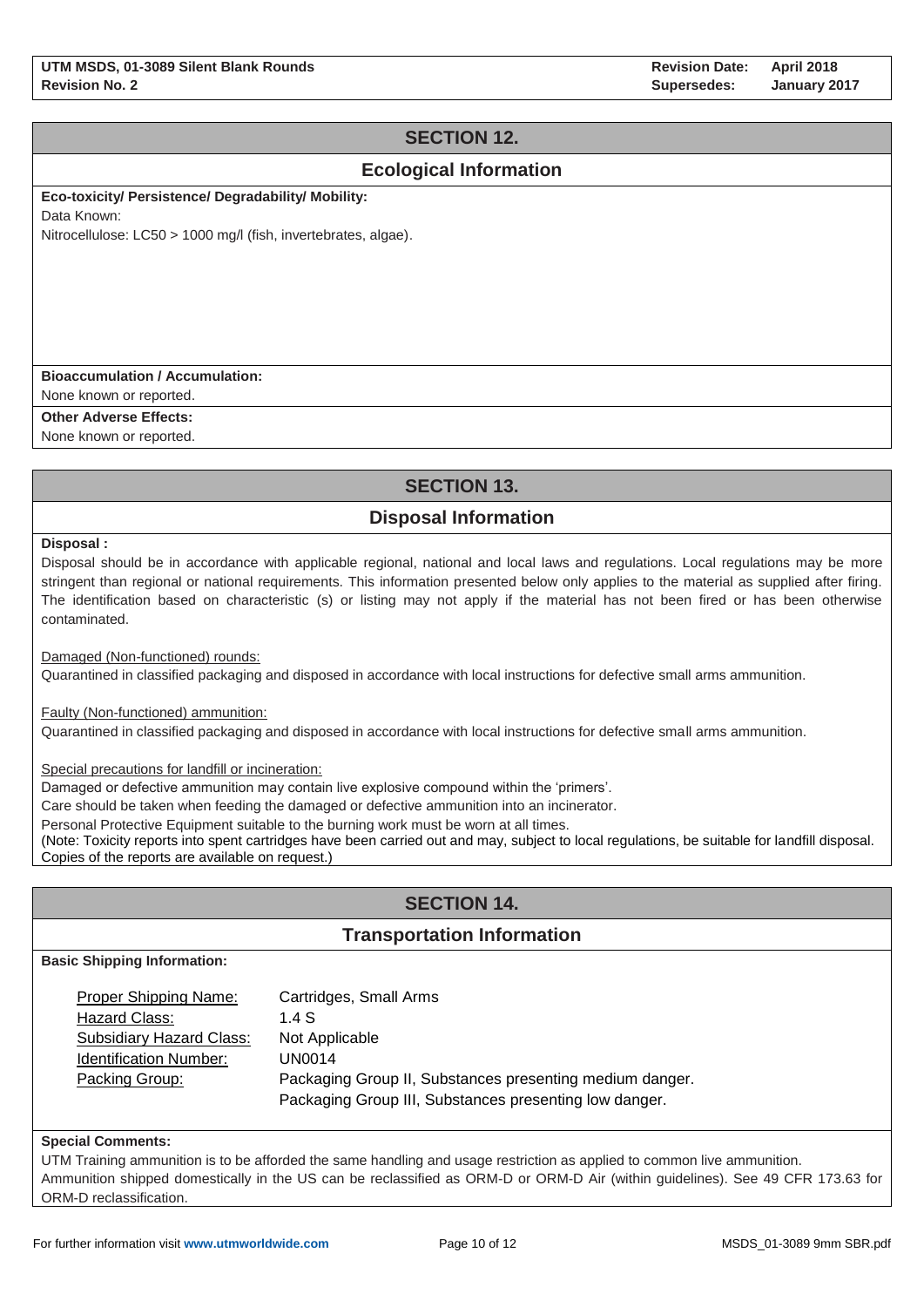# **SECTION 12.**

## **Ecological Information**

**Eco-toxicity/ Persistence/ Degradability/ Mobility:** 

Data Known:

Nitrocellulose: LC50 > 1000 mg/l (fish, invertebrates, algae).

### **Bioaccumulation / Accumulation:**

None known or reported.

**Other Adverse Effects:**

None known or reported.

# **SECTION 13.**

# **Disposal Information**

**Disposal :**

Disposal should be in accordance with applicable regional, national and local laws and regulations. Local regulations may be more stringent than regional or national requirements. This information presented below only applies to the material as supplied after firing. The identification based on characteristic (s) or listing may not apply if the material has not been fired or has been otherwise contaminated.

Damaged (Non-functioned) rounds:

Quarantined in classified packaging and disposed in accordance with local instructions for defective small arms ammunition.

Faulty (Non-functioned) ammunition:

Quarantined in classified packaging and disposed in accordance with local instructions for defective small arms ammunition.

Special precautions for landfill or incineration:

Damaged or defective ammunition may contain live explosive compound within the 'primers'.

Care should be taken when feeding the damaged or defective ammunition into an incinerator.

Personal Protective Equipment suitable to the burning work must be worn at all times.

(Note: Toxicity reports into spent cartridges have been carried out and may, subject to local regulations, be suitable for landfill disposal. Copies of the reports are available on request.)

# **SECTION 14.**

### **Transportation Information**

**Basic Shipping Information:**

| Proper Shipping Name:         | Cartridges, Small Arms                                   |
|-------------------------------|----------------------------------------------------------|
| Hazard Class:                 | 1.4S                                                     |
| Subsidiary Hazard Class:      | Not Applicable                                           |
| <b>Identification Number:</b> | <b>UN0014</b>                                            |
| Packing Group:                | Packaging Group II, Substances presenting medium danger. |
|                               | Packaging Group III, Substances presenting low danger.   |

#### **Special Comments:**

UTM Training ammunition is to be afforded the same handling and usage restriction as applied to common live ammunition. Ammunition shipped domestically in the US can be reclassified as ORM-D or ORM-D Air (within guidelines). See 49 CFR 173.63 for ORM-D reclassification.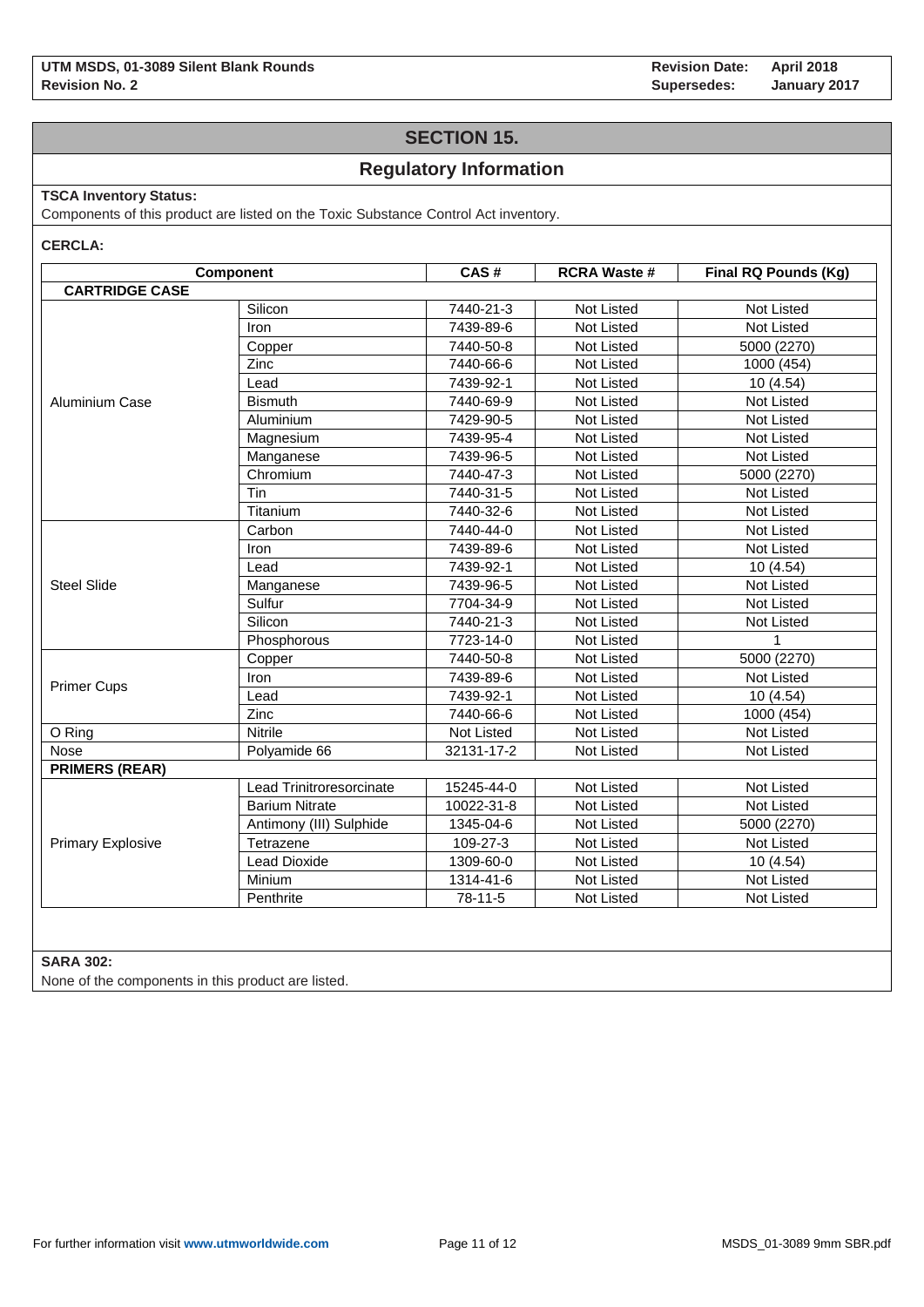**Revision Date: Supersedes: April 2018 January 2017**

## **SECTION 15.**

## **Regulatory Information**

### **TSCA Inventory Status:**

Components of this product are listed on the Toxic Substance Control Act inventory.

#### **CERCLA:**

|                          | Component                | CAS#       | <b>RCRA Waste #</b> | Final RQ Pounds (Kg) |
|--------------------------|--------------------------|------------|---------------------|----------------------|
| <b>CARTRIDGE CASE</b>    |                          |            |                     |                      |
|                          | Silicon                  | 7440-21-3  | Not Listed          | Not Listed           |
|                          | <b>Iron</b>              | 7439-89-6  | Not Listed          | Not Listed           |
|                          | Copper                   | 7440-50-8  | Not Listed          | 5000 (2270)          |
|                          | Zinc                     | 7440-66-6  | Not Listed          | 1000 (454)           |
|                          | Lead                     | 7439-92-1  | Not Listed          | 10(4.54)             |
| Aluminium Case           | <b>Bismuth</b>           | 7440-69-9  | Not Listed          | Not Listed           |
|                          | Aluminium                | 7429-90-5  | Not Listed          | Not Listed           |
|                          | Magnesium                | 7439-95-4  | Not Listed          | Not Listed           |
|                          | Manganese                | 7439-96-5  | Not Listed          | Not Listed           |
|                          | Chromium                 | 7440-47-3  | Not Listed          | 5000 (2270)          |
|                          | Tin                      | 7440-31-5  | Not Listed          | <b>Not Listed</b>    |
|                          | Titanium                 | 7440-32-6  | Not Listed          | <b>Not Listed</b>    |
|                          | Carbon                   | 7440-44-0  | <b>Not Listed</b>   | <b>Not Listed</b>    |
|                          | <b>Iron</b>              | 7439-89-6  | <b>Not Listed</b>   | Not Listed           |
|                          | Lead                     | 7439-92-1  | <b>Not Listed</b>   | 10(4.54)             |
| <b>Steel Slide</b>       | Manganese                | 7439-96-5  | <b>Not Listed</b>   | Not Listed           |
|                          | Sulfur                   | 7704-34-9  | Not Listed          | Not Listed           |
|                          | Silicon                  | 7440-21-3  | Not Listed          | Not Listed           |
|                          | Phosphorous              | 7723-14-0  | Not Listed          |                      |
|                          | Copper                   | 7440-50-8  | Not Listed          | 5000 (2270)          |
|                          | Iron                     | 7439-89-6  | Not Listed          | Not Listed           |
| <b>Primer Cups</b>       | Lead                     | 7439-92-1  | Not Listed          | 10(4.54)             |
|                          | Zinc                     | 7440-66-6  | Not Listed          | 1000 (454)           |
| O Ring                   | <b>Nitrile</b>           | Not Listed | Not Listed          | Not Listed           |
| Nose                     | Polyamide 66             | 32131-17-2 | Not Listed          | Not Listed           |
| <b>PRIMERS (REAR)</b>    |                          |            |                     |                      |
|                          | Lead Trinitroresorcinate | 15245-44-0 | Not Listed          | Not Listed           |
|                          | <b>Barium Nitrate</b>    | 10022-31-8 | Not Listed          | <b>Not Listed</b>    |
|                          | Antimony (III) Sulphide  | 1345-04-6  | Not Listed          | 5000 (2270)          |
| <b>Primary Explosive</b> | Tetrazene                | 109-27-3   | Not Listed          | Not Listed           |
|                          | <b>Lead Dioxide</b>      | 1309-60-0  | Not Listed          | 10(4.54)             |
|                          | Minium                   | 1314-41-6  | Not Listed          | Not Listed           |
|                          | Penthrite                | 78-11-5    | Not Listed          | Not Listed           |

### **SARA 302:**

None of the components in this product are listed.